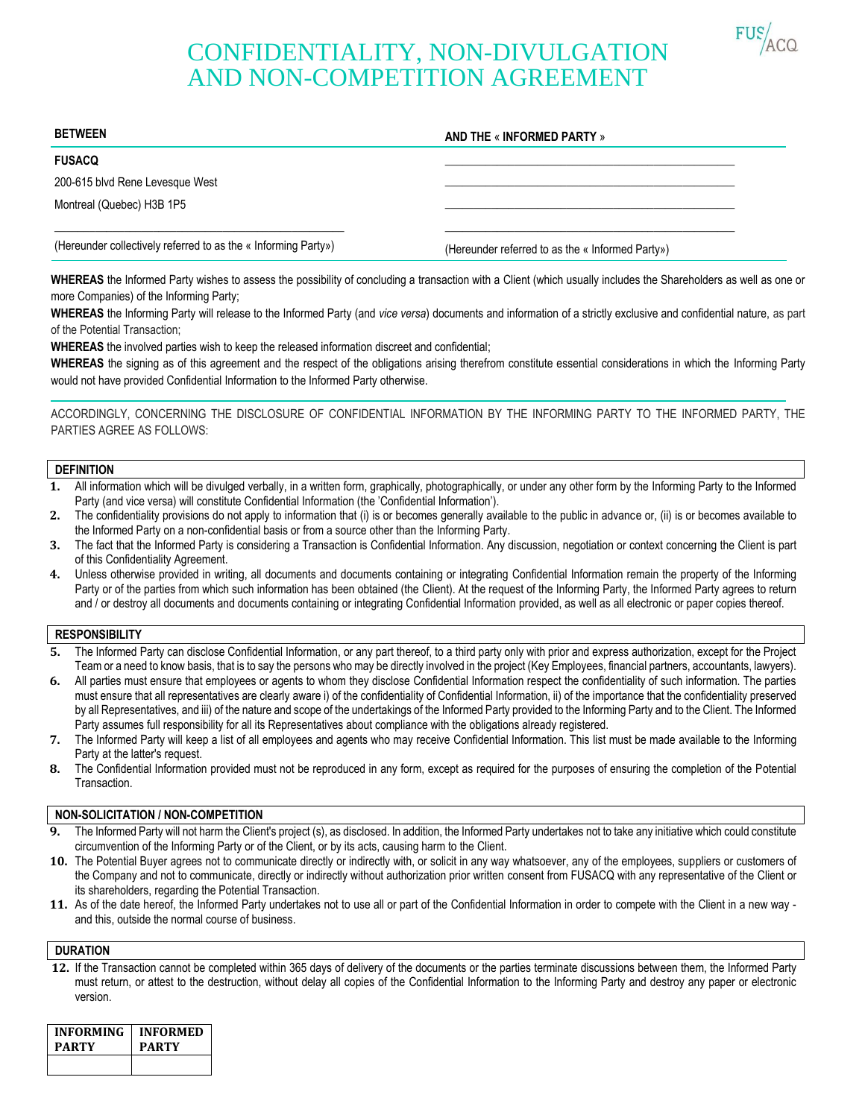

# CONFIDENTIALITY, NON-DIVULGATION AND NON-COMPETITION AGREEMENT

| <b>BETWEEN</b>                                                 | AND THE « INFORMED PARTY »                       |
|----------------------------------------------------------------|--------------------------------------------------|
| <b>FUSACQ</b>                                                  |                                                  |
| 200-615 blvd Rene Levesque West                                |                                                  |
| Montreal (Quebec) H3B 1P5                                      |                                                  |
|                                                                |                                                  |
| (Hereunder collectively referred to as the « Informing Party») | (Hereunder referred to as the « Informed Party») |

**WHEREAS** the Informed Party wishes to assess the possibility of concluding a transaction with a Client (which usually includes the Shareholders as well as one or more Companies) of the Informing Party;

**WHEREAS** the Informing Party will release to the Informed Party (and *vice versa*) documents and information of a strictly exclusive and confidential nature, as part of the Potential Transaction;

**WHEREAS** the involved parties wish to keep the released information discreet and confidential;

**WHEREAS** the signing as of this agreement and the respect of the obligations arising therefrom constitute essential considerations in which the Informing Party would not have provided Confidential Information to the Informed Party otherwise.

ACCORDINGLY, CONCERNING THE DISCLOSURE OF CONFIDENTIAL INFORMATION BY THE INFORMING PARTY TO THE INFORMED PARTY, THE PARTIES AGREE AS FOLLOWS:

## **DEFINITION**

- **1.** All information which will be divulged verbally, in a written form, graphically, photographically, or under any other form by the Informing Party to the Informed Party (and vice versa) will constitute Confidential Information (the 'Confidential Information').
- **2.** The confidentiality provisions do not apply to information that (i) is or becomes generally available to the public in advance or, (ii) is or becomes available to the Informed Party on a non-confidential basis or from a source other than the Informing Party.
- **3.** The fact that the Informed Party is considering a Transaction is Confidential Information. Any discussion, negotiation or context concerning the Client is part of this Confidentiality Agreement.
- **4.** Unless otherwise provided in writing, all documents and documents containing or integrating Confidential Information remain the property of the Informing Party or of the parties from which such information has been obtained (the Client). At the request of the Informing Party, the Informed Party agrees to return and / or destroy all documents and documents containing or integrating Confidential Information provided, as well as all electronic or paper copies thereof.

#### **RESPONSIBILITY**

- **5.** The Informed Party can disclose Confidential Information, or any part thereof, to a third party only with prior and express authorization, except for the Project Team or a need to know basis, that is to say the persons who may be directly involved in the project (Key Employees, financial partners, accountants, lawyers).
- **6.** All parties must ensure that employees or agents to whom they disclose Confidential Information respect the confidentiality of such information. The parties must ensure that all representatives are clearly aware i) of the confidentiality of Confidential Information, ii) of the importance that the confidentiality preserved by all Representatives, and iii) of the nature and scope of the undertakings of the Informed Party provided to the Informing Party and to the Client. The Informed Party assumes full responsibility for all its Representatives about compliance with the obligations already registered.
- **7.** The Informed Party will keep a list of all employees and agents who may receive Confidential Information. This list must be made available to the Informing Party at the latter's request.
- **8.** The Confidential Information provided must not be reproduced in any form, except as required for the purposes of ensuring the completion of the Potential Transaction.

## **NON-SOLICITATION / NON-COMPETITION**

- **9.** The Informed Party will not harm the Client's project (s), as disclosed. In addition, the Informed Party undertakes not to take any initiative which could constitute circumvention of the Informing Party or of the Client, or by its acts, causing harm to the Client.
- **10.** The Potential Buyer agrees not to communicate directly or indirectly with, or solicit in any way whatsoever, any of the employees, suppliers or customers of the Company and not to communicate, directly or indirectly without authorization prior written consent from FUSACQ with any representative of the Client or its shareholders, regarding the Potential Transaction.
- **11.** As of the date hereof, the Informed Party undertakes not to use all or part of the Confidential Information in order to compete with the Client in a new way and this, outside the normal course of business.

#### **DURATION**

**12.** If the Transaction cannot be completed within 365 days of delivery of the documents or the parties terminate discussions between them, the Informed Party must return, or attest to the destruction, without delay all copies of the Confidential Information to the Informing Party and destroy any paper or electronic version.

| INFORMING | <b>INFORMED</b> |
|-----------|-----------------|
| PARTY     | PARTY           |
|           |                 |